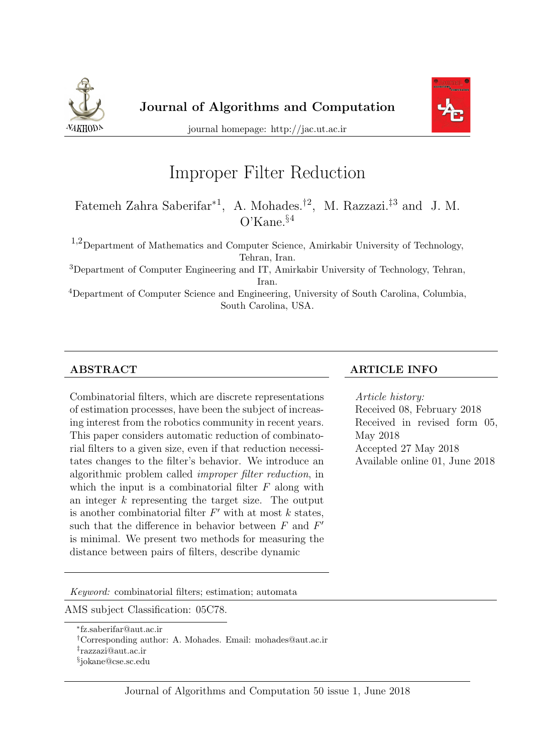



journal homepage: http://jac.ut.ac.ir

# Improper Filter Reduction

Fatemeh Zahra Saberifar∗<sup>1</sup> , A. Mohades.†<sup>2</sup> , M. Razzazi.‡<sup>3</sup> and J. M. O'Kane.§<sup>4</sup>

1,2Department of Mathematics and Computer Science, Amirkabir University of Technology, Tehran, Iran.

<sup>3</sup>Department of Computer Engineering and IT, Amirkabir University of Technology, Tehran, Iran.

<sup>4</sup>Department of Computer Science and Engineering, University of South Carolina, Columbia, South Carolina, USA.

Combinatorial filters, which are discrete representations of estimation processes, have been the subject of increasing interest from the robotics community in recent years. This paper considers automatic reduction of combinatorial filters to a given size, even if that reduction necessitates changes to the filter's behavior. We introduce an algorithmic problem called improper filter reduction, in which the input is a combinatorial filter  $F$  along with an integer k representing the target size. The output is another combinatorial filter  $F'$  with at most k states, such that the difference in behavior between  $F$  and  $F'$ is minimal. We present two methods for measuring the distance between pairs of filters, describe dynamic

#### ABSTRACT ARTICLE INFO

Article history: Received 08, February 2018 Received in revised form 05, May 2018 Accepted 27 May 2018 Available online 01, June 2018

Keyword: combinatorial filters; estimation; automata

AMS subject Classification: 05C78.

‡ razzazi@aut.ac.ir

<sup>∗</sup> fz.saberifar@aut.ac.ir

<sup>†</sup>Corresponding author: A. Mohades. Email: mohades@aut.ac.ir

<sup>§</sup> jokane@cse.sc.edu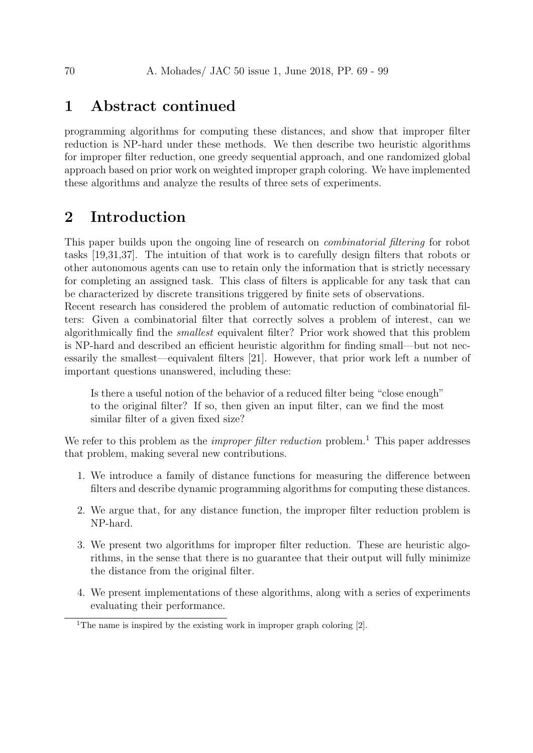## 1 Abstract continued

programming algorithms for computing these distances, and show that improper filter reduction is NP-hard under these methods. We then describe two heuristic algorithms for improper filter reduction, one greedy sequential approach, and one randomized global approach based on prior work on weighted improper graph coloring. We have implemented these algorithms and analyze the results of three sets of experiments.

# 2 Introduction

This paper builds upon the ongoing line of research on combinatorial filtering for robot tasks [19,31,37]. The intuition of that work is to carefully design filters that robots or other autonomous agents can use to retain only the information that is strictly necessary for completing an assigned task. This class of filters is applicable for any task that can be characterized by discrete transitions triggered by finite sets of observations.

Recent research has considered the problem of automatic reduction of combinatorial filters: Given a combinatorial filter that correctly solves a problem of interest, can we algorithmically find the smallest equivalent filter? Prior work showed that this problem is NP-hard and described an efficient heuristic algorithm for finding small—but not necessarily the smallest—equivalent filters [21]. However, that prior work left a number of important questions unanswered, including these:

Is there a useful notion of the behavior of a reduced filter being "close enough" to the original filter? If so, then given an input filter, can we find the most similar filter of a given fixed size?

We refer to this problem as the *improper filter reduction* problem.<sup>1</sup> This paper addresses that problem, making several new contributions.

- 1. We introduce a family of distance functions for measuring the difference between filters and describe dynamic programming algorithms for computing these distances.
- 2. We argue that, for any distance function, the improper filter reduction problem is NP-hard.
- 3. We present two algorithms for improper filter reduction. These are heuristic algorithms, in the sense that there is no guarantee that their output will fully minimize the distance from the original filter.
- 4. We present implementations of these algorithms, along with a series of experiments evaluating their performance.

<sup>&</sup>lt;sup>1</sup>The name is inspired by the existing work in improper graph coloring  $[2]$ .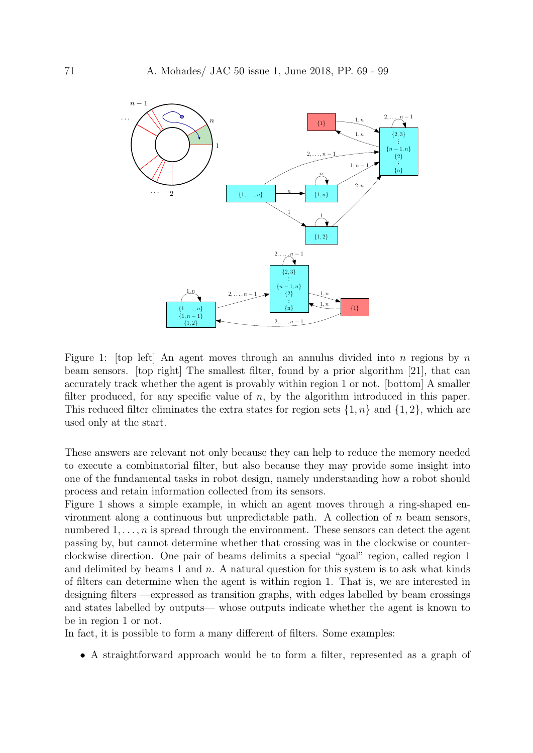

Figure 1: [top left] An agent moves through an annulus divided into n regions by n beam sensors. [top right] The smallest filter, found by a prior algorithm [21], that can accurately track whether the agent is provably within region 1 or not. [bottom] A smaller filter produced, for any specific value of  $n$ , by the algorithm introduced in this paper. This reduced filter eliminates the extra states for region sets  $\{1,n\}$  and  $\{1,2\}$ , which are used only at the start.

These answers are relevant not only because they can help to reduce the memory needed to execute a combinatorial filter, but also because they may provide some insight into one of the fundamental tasks in robot design, namely understanding how a robot should process and retain information collected from its sensors.

Figure 1 shows a simple example, in which an agent moves through a ring-shaped environment along a continuous but unpredictable path. A collection of  $n$  beam sensors, numbered  $1, \ldots, n$  is spread through the environment. These sensors can detect the agent passing by, but cannot determine whether that crossing was in the clockwise or counterclockwise direction. One pair of beams delimits a special "goal" region, called region 1 and delimited by beams 1 and  $n$ . A natural question for this system is to ask what kinds of filters can determine when the agent is within region 1. That is, we are interested in designing filters —expressed as transition graphs, with edges labelled by beam crossings and states labelled by outputs— whose outputs indicate whether the agent is known to be in region 1 or not.

In fact, it is possible to form a many different of filters. Some examples:

• A straightforward approach would be to form a filter, represented as a graph of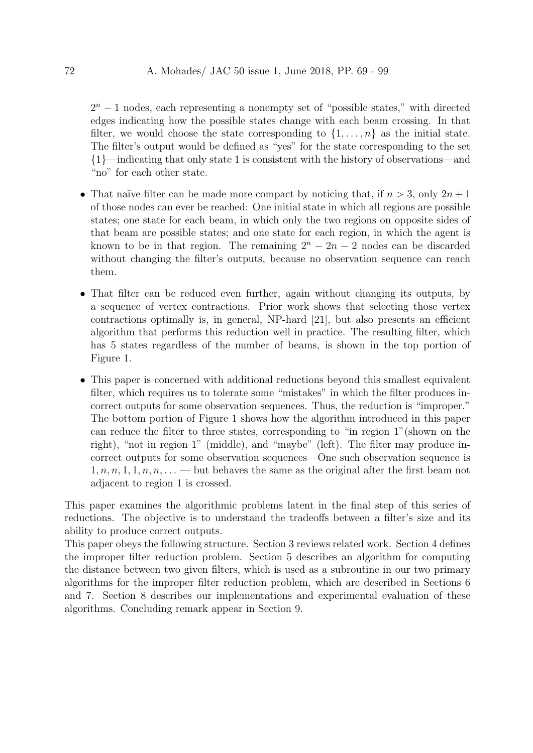$2<sup>n</sup> - 1$  nodes, each representing a nonempty set of "possible states," with directed edges indicating how the possible states change with each beam crossing. In that filter, we would choose the state corresponding to  $\{1, \ldots, n\}$  as the initial state. The filter's output would be defined as "yes" for the state corresponding to the set {1}—indicating that only state 1 is consistent with the history of observations—and "no" for each other state.

- That naïve filter can be made more compact by noticing that, if  $n > 3$ , only  $2n + 1$ of those nodes can ever be reached: One initial state in which all regions are possible states; one state for each beam, in which only the two regions on opposite sides of that beam are possible states; and one state for each region, in which the agent is known to be in that region. The remaining  $2^{n} - 2n - 2$  nodes can be discarded without changing the filter's outputs, because no observation sequence can reach them.
- That filter can be reduced even further, again without changing its outputs, by a sequence of vertex contractions. Prior work shows that selecting those vertex contractions optimally is, in general, NP-hard [21], but also presents an efficient algorithm that performs this reduction well in practice. The resulting filter, which has 5 states regardless of the number of beams, is shown in the top portion of Figure 1.
- This paper is concerned with additional reductions beyond this smallest equivalent filter, which requires us to tolerate some "mistakes" in which the filter produces incorrect outputs for some observation sequences. Thus, the reduction is "improper." The bottom portion of Figure 1 shows how the algorithm introduced in this paper can reduce the filter to three states, corresponding to "in region 1"(shown on the right), "not in region 1" (middle), and "maybe" (left). The filter may produce incorrect outputs for some observation sequences—One such observation sequence is  $1, n, n, 1, 1, n, n, \ldots$  but behaves the same as the original after the first beam not adjacent to region 1 is crossed.

This paper examines the algorithmic problems latent in the final step of this series of reductions. The objective is to understand the tradeoffs between a filter's size and its ability to produce correct outputs.

This paper obeys the following structure. Section 3 reviews related work. Section 4 defines the improper filter reduction problem. Section 5 describes an algorithm for computing the distance between two given filters, which is used as a subroutine in our two primary algorithms for the improper filter reduction problem, which are described in Sections 6 and 7. Section 8 describes our implementations and experimental evaluation of these algorithms. Concluding remark appear in Section 9.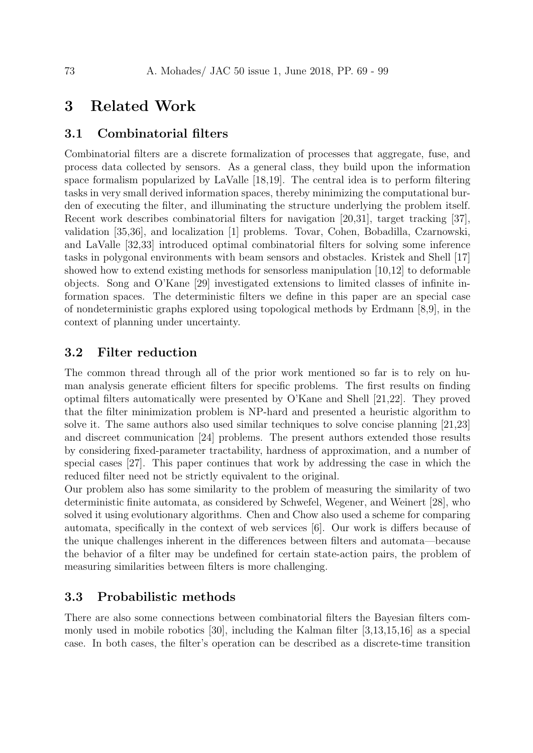## 3 Related Work

#### 3.1 Combinatorial filters

Combinatorial filters are a discrete formalization of processes that aggregate, fuse, and process data collected by sensors. As a general class, they build upon the information space formalism popularized by LaValle [18,19]. The central idea is to perform filtering tasks in very small derived information spaces, thereby minimizing the computational burden of executing the filter, and illuminating the structure underlying the problem itself. Recent work describes combinatorial filters for navigation [20,31], target tracking [37], validation [35,36], and localization [1] problems. Tovar, Cohen, Bobadilla, Czarnowski, and LaValle [32,33] introduced optimal combinatorial filters for solving some inference tasks in polygonal environments with beam sensors and obstacles. Kristek and Shell [17] showed how to extend existing methods for sensorless manipulation [10,12] to deformable objects. Song and O'Kane [29] investigated extensions to limited classes of infinite information spaces. The deterministic filters we define in this paper are an special case of nondeterministic graphs explored using topological methods by Erdmann [8,9], in the context of planning under uncertainty.

#### 3.2 Filter reduction

The common thread through all of the prior work mentioned so far is to rely on human analysis generate efficient filters for specific problems. The first results on finding optimal filters automatically were presented by O'Kane and Shell [21,22]. They proved that the filter minimization problem is NP-hard and presented a heuristic algorithm to solve it. The same authors also used similar techniques to solve concise planning [21,23] and discreet communication [24] problems. The present authors extended those results by considering fixed-parameter tractability, hardness of approximation, and a number of special cases [27]. This paper continues that work by addressing the case in which the reduced filter need not be strictly equivalent to the original.

Our problem also has some similarity to the problem of measuring the similarity of two deterministic finite automata, as considered by Schwefel, Wegener, and Weinert [28], who solved it using evolutionary algorithms. Chen and Chow also used a scheme for comparing automata, specifically in the context of web services [6]. Our work is differs because of the unique challenges inherent in the differences between filters and automata—because the behavior of a filter may be undefined for certain state-action pairs, the problem of measuring similarities between filters is more challenging.

## 3.3 Probabilistic methods

There are also some connections between combinatorial filters the Bayesian filters commonly used in mobile robotics [30], including the Kalman filter [3,13,15,16] as a special case. In both cases, the filter's operation can be described as a discrete-time transition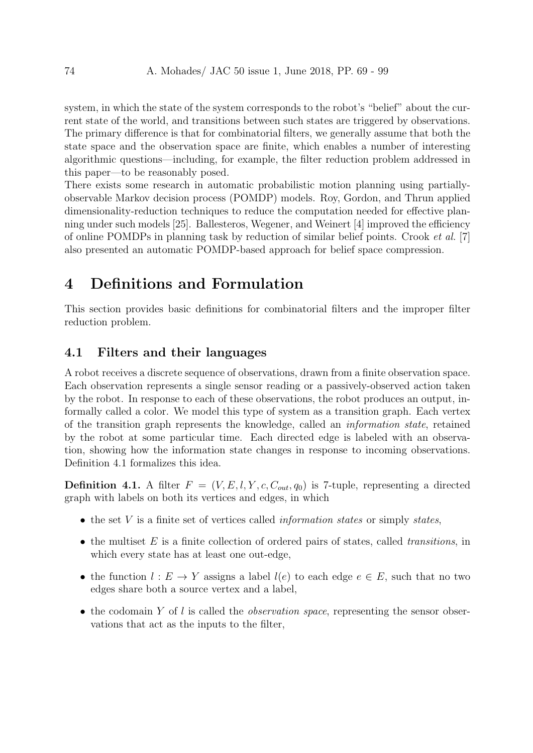system, in which the state of the system corresponds to the robot's "belief" about the current state of the world, and transitions between such states are triggered by observations. The primary difference is that for combinatorial filters, we generally assume that both the state space and the observation space are finite, which enables a number of interesting algorithmic questions—including, for example, the filter reduction problem addressed in this paper—to be reasonably posed.

There exists some research in automatic probabilistic motion planning using partiallyobservable Markov decision process (POMDP) models. Roy, Gordon, and Thrun applied dimensionality-reduction techniques to reduce the computation needed for effective planning under such models [25]. Ballesteros, Wegener, and Weinert [4] improved the efficiency of online POMDPs in planning task by reduction of similar belief points. Crook et al. [7] also presented an automatic POMDP-based approach for belief space compression.

## 4 Definitions and Formulation

This section provides basic definitions for combinatorial filters and the improper filter reduction problem.

#### 4.1 Filters and their languages

A robot receives a discrete sequence of observations, drawn from a finite observation space. Each observation represents a single sensor reading or a passively-observed action taken by the robot. In response to each of these observations, the robot produces an output, informally called a color. We model this type of system as a transition graph. Each vertex of the transition graph represents the knowledge, called an information state, retained by the robot at some particular time. Each directed edge is labeled with an observation, showing how the information state changes in response to incoming observations. Definition 4.1 formalizes this idea.

**Definition 4.1.** A filter  $F = (V, E, l, Y, c, C_{out}, q_0)$  is 7-tuple, representing a directed graph with labels on both its vertices and edges, in which

- $\bullet$  the set V is a finite set of vertices called *information states* or simply *states*,
- the multiset  $E$  is a finite collection of ordered pairs of states, called *transitions*, in which every state has at least one out-edge,
- the function  $l : E \to Y$  assigns a label  $l(e)$  to each edge  $e \in E$ , such that no two edges share both a source vertex and a label,
- the codomain Y of l is called the *observation space*, representing the sensor observations that act as the inputs to the filter,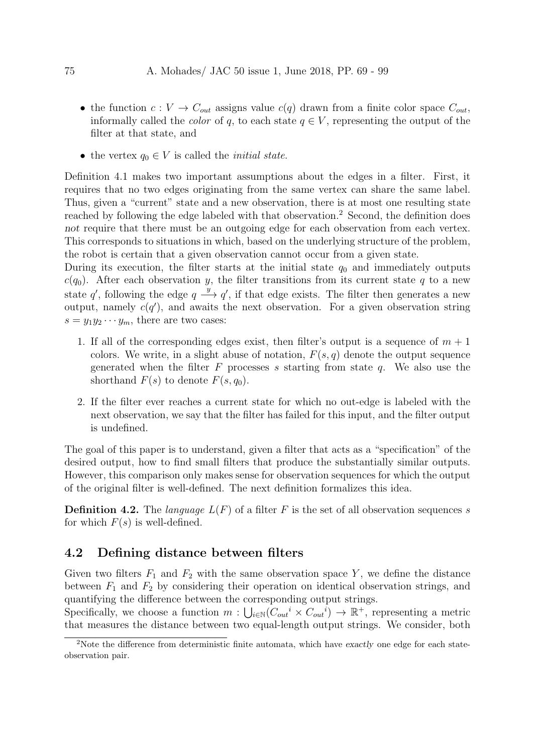- the function  $c: V \to C_{out}$  assigns value  $c(q)$  drawn from a finite color space  $C_{out}$ , informally called the *color* of q, to each state  $q \in V$ , representing the output of the filter at that state, and
- the vertex  $q_0 \in V$  is called the *initial state*.

Definition 4.1 makes two important assumptions about the edges in a filter. First, it requires that no two edges originating from the same vertex can share the same label. Thus, given a "current" state and a new observation, there is at most one resulting state reached by following the edge labeled with that observation.<sup>2</sup> Second, the definition does not require that there must be an outgoing edge for each observation from each vertex. This corresponds to situations in which, based on the underlying structure of the problem, the robot is certain that a given observation cannot occur from a given state.

During its execution, the filter starts at the initial state  $q_0$  and immediately outputs  $c(q_0)$ . After each observation y, the filter transitions from its current state q to a new state q', following the edge  $q \stackrel{y}{\longrightarrow} q'$ , if that edge exists. The filter then generates a new output, namely  $c(q')$ , and awaits the next observation. For a given observation string  $s = y_1 y_2 \cdots y_m$ , there are two cases:

- 1. If all of the corresponding edges exist, then filter's output is a sequence of  $m + 1$ colors. We write, in a slight abuse of notation,  $F(s, q)$  denote the output sequence generated when the filter  $F$  processes s starting from state  $q$ . We also use the shorthand  $F(s)$  to denote  $F(s, q_0)$ .
- 2. If the filter ever reaches a current state for which no out-edge is labeled with the next observation, we say that the filter has failed for this input, and the filter output is undefined.

The goal of this paper is to understand, given a filter that acts as a "specification" of the desired output, how to find small filters that produce the substantially similar outputs. However, this comparison only makes sense for observation sequences for which the output of the original filter is well-defined. The next definition formalizes this idea.

**Definition 4.2.** The language  $L(F)$  of a filter F is the set of all observation sequences s for which  $F(s)$  is well-defined.

## 4.2 Defining distance between filters

Given two filters  $F_1$  and  $F_2$  with the same observation space Y, we define the distance between  $F_1$  and  $F_2$  by considering their operation on identical observation strings, and quantifying the difference between the corresponding output strings.

Specifically, we choose a function  $m: \bigcup_{i \in \mathbb{N}} (C_{out}^i \times C_{out}^i) \to \mathbb{R}^+$ , representing a metric that measures the distance between two equal-length output strings. We consider, both

<sup>&</sup>lt;sup>2</sup>Note the difference from deterministic finite automata, which have exactly one edge for each stateobservation pair.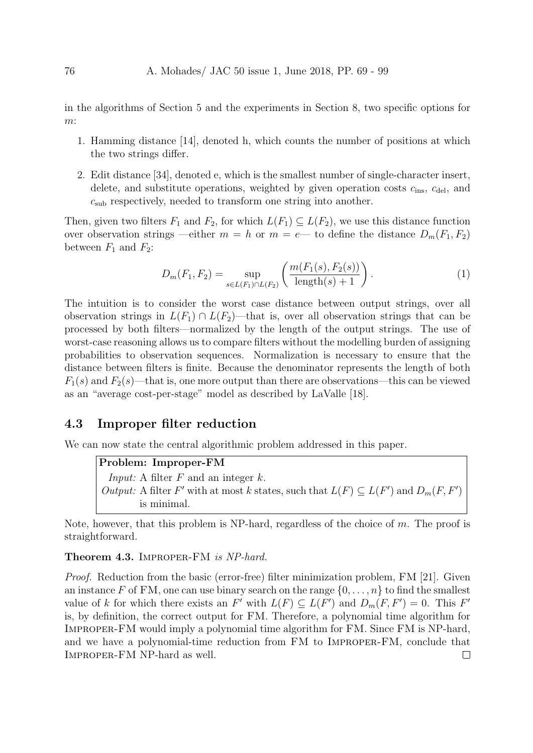in the algorithms of Section 5 and the experiments in Section 8, two specific options for m:

- 1. Hamming distance [14], denoted h, which counts the number of positions at which the two strings differ.
- 2. Edit distance [34], denoted e, which is the smallest number of single-character insert, delete, and substitute operations, weighted by given operation costs  $c_{ins}$ ,  $c_{del}$ , and  $c_{sub}$  respectively, needed to transform one string into another.

Then, given two filters  $F_1$  and  $F_2$ , for which  $L(F_1) \subseteq L(F_2)$ , we use this distance function over observation strings —either  $m = h$  or  $m = e$ — to define the distance  $D_m(F_1, F_2)$ between  $F_1$  and  $F_2$ :

$$
D_m(F_1, F_2) = \sup_{s \in L(F_1) \cap L(F_2)} \left( \frac{m(F_1(s), F_2(s))}{\text{length}(s) + 1} \right). \tag{1}
$$

The intuition is to consider the worst case distance between output strings, over all observation strings in  $L(F_1) \cap L(F_2)$ —that is, over all observation strings that can be processed by both filters—normalized by the length of the output strings. The use of worst-case reasoning allows us to compare filters without the modelling burden of assigning probabilities to observation sequences. Normalization is necessary to ensure that the distance between filters is finite. Because the denominator represents the length of both  $F_1(s)$  and  $F_2(s)$ —that is, one more output than there are observations—this can be viewed as an "average cost-per-stage" model as described by LaValle [18].

#### 4.3 Improper filter reduction

We can now state the central algorithmic problem addressed in this paper.

Problem: Improper-FM *Input:* A filter  $F$  and an integer  $k$ . *Output:* A filter  $F'$  with at most k states, such that  $L(F) \subseteq L(F')$  and  $D_m(F, F')$ is minimal.

Note, however, that this problem is NP-hard, regardless of the choice of  $m$ . The proof is straightforward.

#### Theorem 4.3. IMPROPER-FM is NP-hard.

Proof. Reduction from the basic (error-free) filter minimization problem, FM [21]. Given an instance F of FM, one can use binary search on the range  $\{0, \ldots, n\}$  to find the smallest value of k for which there exists an  $F'$  with  $L(F) \subseteq L(F')$  and  $D_m(F, F') = 0$ . This  $F'$ is, by definition, the correct output for FM. Therefore, a polynomial time algorithm for Improper-FM would imply a polynomial time algorithm for FM. Since FM is NP-hard, and we have a polynomial-time reduction from FM to Improper-FM, conclude that Improper-FM NP-hard as well. $\Box$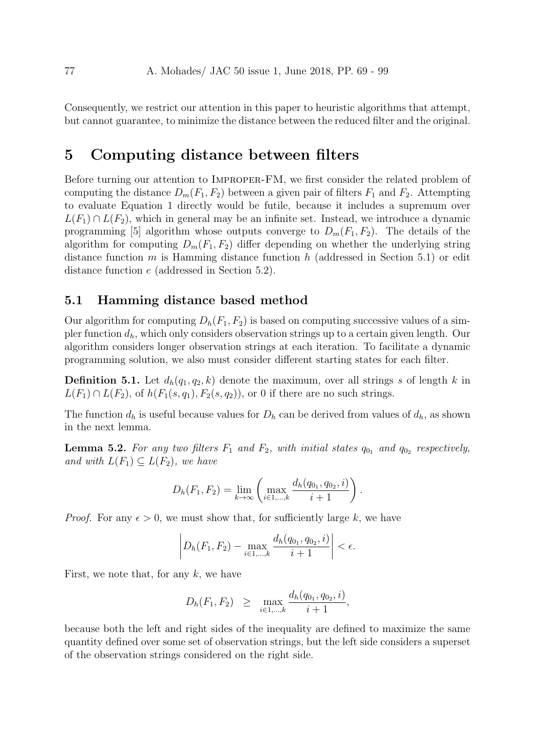Consequently, we restrict our attention in this paper to heuristic algorithms that attempt, but cannot guarantee, to minimize the distance between the reduced filter and the original.

## 5 Computing distance between filters

Before turning our attention to Improper-FM, we first consider the related problem of computing the distance  $D_m(F_1, F_2)$  between a given pair of filters  $F_1$  and  $F_2$ . Attempting to evaluate Equation 1 directly would be futile, because it includes a supremum over  $L(F_1) \cap L(F_2)$ , which in general may be an infinite set. Instead, we introduce a dynamic programming [5] algorithm whose outputs converge to  $D_m(F_1, F_2)$ . The details of the algorithm for computing  $D_m(F_1, F_2)$  differ depending on whether the underlying string distance function m is Hamming distance function h (addressed in Section 5.1) or edit distance function e (addressed in Section 5.2).

## 5.1 Hamming distance based method

Our algorithm for computing  $D_h(F_1, F_2)$  is based on computing successive values of a simpler function  $d_h$ , which only considers observation strings up to a certain given length. Our algorithm considers longer observation strings at each iteration. To facilitate a dynamic programming solution, we also must consider different starting states for each filter.

**Definition 5.1.** Let  $d_h(q_1, q_2, k)$  denote the maximum, over all strings s of length k in  $L(F_1) \cap L(F_2)$ , of  $h(F_1(s, q_1), F_2(s, q_2))$ , or 0 if there are no such strings.

The function  $d_h$  is useful because values for  $D_h$  can be derived from values of  $d_h$ , as shown in the next lemma.

**Lemma 5.2.** For any two filters  $F_1$  and  $F_2$ , with initial states  $q_{0_1}$  and  $q_{0_2}$  respectively, and with  $L(F_1) \subseteq L(F_2)$ , we have

$$
D_h(F_1, F_2) = \lim_{k \to \infty} \left( \max_{i \in 1, ..., k} \frac{d_h(q_{0_1}, q_{0_2}, i)}{i + 1} \right).
$$

*Proof.* For any  $\epsilon > 0$ , we must show that, for sufficiently large k, we have

$$
\left| D_h(F_1, F_2) - \max_{i \in 1, ..., k} \frac{d_h(q_{0_1}, q_{0_2}, i)}{i + 1} \right| < \epsilon.
$$

First, we note that, for any  $k$ , we have

$$
D_h(F_1, F_2) \geq \max_{i \in 1, ..., k} \frac{d_h(q_{0_1}, q_{0_2}, i)}{i+1},
$$

because both the left and right sides of the inequality are defined to maximize the same quantity defined over some set of observation strings, but the left side considers a superset of the observation strings considered on the right side.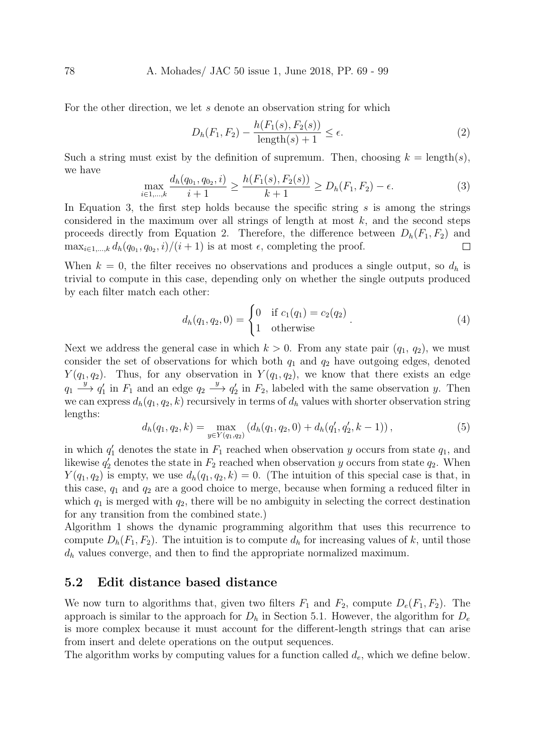#### 78 A. Mohades/ JAC 50 issue 1, June 2018, PP. 69 - 99

For the other direction, we let s denote an observation string for which

$$
D_h(F_1, F_2) - \frac{h(F_1(s), F_2(s))}{\text{length}(s) + 1} \le \epsilon.
$$
 (2)

Such a string must exist by the definition of supremum. Then, choosing  $k = \text{length}(s)$ , we have

$$
\max_{i \in 1, \dots, k} \frac{d_h(q_{0_1}, q_{0_2}, i)}{i+1} \ge \frac{h(F_1(s), F_2(s))}{k+1} \ge D_h(F_1, F_2) - \epsilon.
$$
 (3)

In Equation 3, the first step holds because the specific string s is among the strings considered in the maximum over all strings of length at most  $k$ , and the second steps proceeds directly from Equation 2. Therefore, the difference between  $D_h(F_1, F_2)$  and  $\max_{i\in 1,\dots,k} d_h(q_{0_1}, q_{0_2}, i)/(i+1)$  is at most  $\epsilon$ , completing the proof.  $\Box$ 

When  $k = 0$ , the filter receives no observations and produces a single output, so  $d_h$  is trivial to compute in this case, depending only on whether the single outputs produced by each filter match each other:

$$
d_h(q_1, q_2, 0) = \begin{cases} 0 & \text{if } c_1(q_1) = c_2(q_2) \\ 1 & \text{otherwise} \end{cases} . \tag{4}
$$

Next we address the general case in which  $k > 0$ . From any state pair  $(q_1, q_2)$ , we must consider the set of observations for which both  $q_1$  and  $q_2$  have outgoing edges, denoted  $Y(q_1, q_2)$ . Thus, for any observation in  $Y(q_1, q_2)$ , we know that there exists an edge  $q_1 \stackrel{y}{\longrightarrow} q_1'$  in  $F_1$  and an edge  $q_2 \stackrel{y}{\longrightarrow} q_2'$  in  $F_2$ , labeled with the same observation y. Then we can express  $d_h(q_1, q_2, k)$  recursively in terms of  $d_h$  values with shorter observation string lengths:

$$
d_h(q_1, q_2, k) = \max_{y \in Y(q_1, q_2)} (d_h(q_1, q_2, 0) + d_h(q'_1, q'_2, k - 1)),
$$
\n(5)

in which  $q'_1$  denotes the state in  $F_1$  reached when observation y occurs from state  $q_1$ , and likewise  $q_2'$  denotes the state in  $F_2$  reached when observation y occurs from state  $q_2$ . When  $Y(q_1, q_2)$  is empty, we use  $d_h(q_1, q_2, k) = 0$ . (The intuition of this special case is that, in this case,  $q_1$  and  $q_2$  are a good choice to merge, because when forming a reduced filter in which  $q_1$  is merged with  $q_2$ , there will be no ambiguity in selecting the correct destination for any transition from the combined state.)

Algorithm 1 shows the dynamic programming algorithm that uses this recurrence to compute  $D_h(F_1, F_2)$ . The intuition is to compute  $d_h$  for increasing values of k, until those  $d_h$  values converge, and then to find the appropriate normalized maximum.

#### 5.2 Edit distance based distance

We now turn to algorithms that, given two filters  $F_1$  and  $F_2$ , compute  $D_e(F_1, F_2)$ . The approach is similar to the approach for  $D_h$  in Section 5.1. However, the algorithm for  $D_e$ is more complex because it must account for the different-length strings that can arise from insert and delete operations on the output sequences.

The algorithm works by computing values for a function called  $d_e$ , which we define below.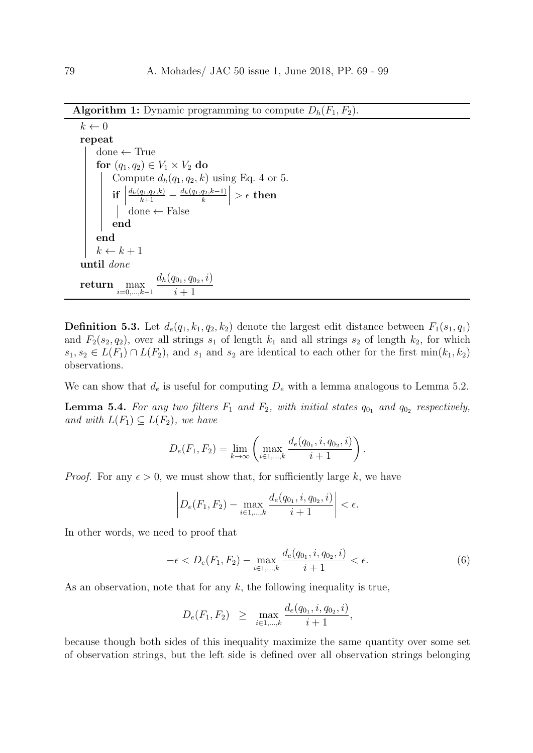**Algorithm 1:** Dynamic programming to compute  $D_h(F_1, F_2)$ .

```
k \leftarrow 0repeat
      done \leftarrow Truefor (q_1, q_2) \in V_1 \times V_2 do
              Compute d_h(q_1, q_2, k) using Eq. 4 or 5.
              \inf_{\perp}\frac{d_h(q_1,q_2,k)}{k+1} - \frac{d_h(q_1,q_2,k-1)}{k}\begin{array}{c} \begin{array}{c} \begin{array}{c} \end{array} \\ \begin{array}{c} \end{array} \end{array} \end{array}> \epsilon then
                     done ← False
              end
      end
      k \leftarrow k + 1until done
return max
                i=0,...,k−1
                                  d_h(q_{0_1}, q_{0_2}, i)i+1
```
**Definition 5.3.** Let  $d_e(q_1, k_1, q_2, k_2)$  denote the largest edit distance between  $F_1(s_1, q_1)$ and  $F_2(s_2, q_2)$ , over all strings  $s_1$  of length  $k_1$  and all strings  $s_2$  of length  $k_2$ , for which  $s_1, s_2 \in L(F_1) \cap L(F_2)$ , and  $s_1$  and  $s_2$  are identical to each other for the first min $(k_1, k_2)$ observations.

We can show that  $d_e$  is useful for computing  $D_e$  with a lemma analogous to Lemma 5.2.

**Lemma 5.4.** For any two filters  $F_1$  and  $F_2$ , with initial states  $q_{0_1}$  and  $q_{0_2}$  respectively, and with  $L(F_1) \subseteq L(F_2)$ , we have

$$
D_e(F_1, F_2) = \lim_{k \to \infty} \left( \max_{i \in 1, ..., k} \frac{d_e(q_{0_1}, i, q_{0_2}, i)}{i + 1} \right).
$$

*Proof.* For any  $\epsilon > 0$ , we must show that, for sufficiently large k, we have

$$
\left| D_e(F_1, F_2) - \max_{i \in 1, ..., k} \frac{d_e(q_{0_1}, i, q_{0_2}, i)}{i + 1} \right| < \epsilon.
$$

In other words, we need to proof that

$$
-\epsilon < D_e(F_1, F_2) - \max_{i \in 1, \dots, k} \frac{d_e(q_{0_1}, i, q_{0_2}, i)}{i + 1} < \epsilon. \tag{6}
$$

As an observation, note that for any  $k$ , the following inequality is true,

$$
D_e(F_1, F_2) \geq \max_{i \in 1, ..., k} \frac{d_e(q_{0_1}, i, q_{0_2}, i)}{i+1},
$$

because though both sides of this inequality maximize the same quantity over some set of observation strings, but the left side is defined over all observation strings belonging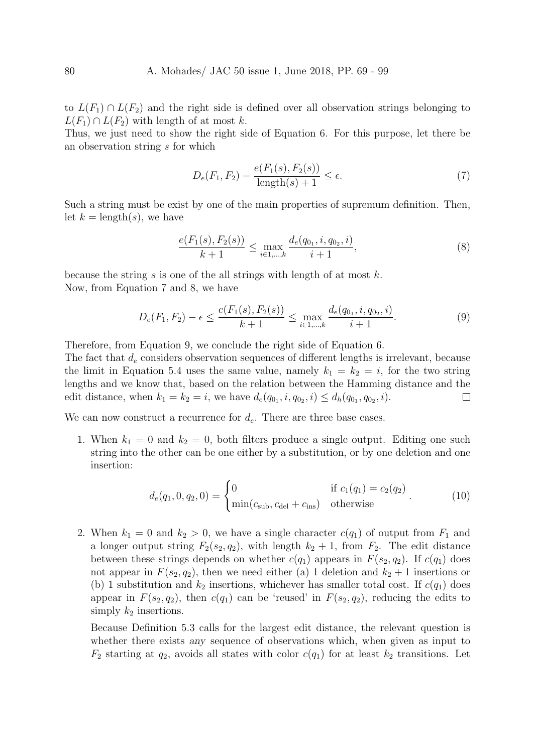to  $L(F_1) \cap L(F_2)$  and the right side is defined over all observation strings belonging to  $L(F_1) \cap L(F_2)$  with length of at most k.

Thus, we just need to show the right side of Equation 6. For this purpose, let there be an observation string s for which

$$
D_e(F_1, F_2) - \frac{e(F_1(s), F_2(s))}{\text{length}(s) + 1} \le \epsilon.
$$
 (7)

Such a string must be exist by one of the main properties of supremum definition. Then, let  $k = \text{length}(s)$ , we have

$$
\frac{e(F_1(s), F_2(s))}{k+1} \le \max_{i \in 1, \dots, k} \frac{d_e(q_{0_1}, i, q_{0_2}, i)}{i+1},\tag{8}
$$

because the string s is one of the all strings with length of at most  $k$ . Now, from Equation 7 and 8, we have

$$
D_e(F_1, F_2) - \epsilon \le \frac{e(F_1(s), F_2(s))}{k+1} \le \max_{i \in 1, ..., k} \frac{d_e(q_{0_1}, i, q_{0_2}, i)}{i+1}.
$$
 (9)

Therefore, from Equation 9, we conclude the right side of Equation 6.

The fact that  $d_e$  considers observation sequences of different lengths is irrelevant, because the limit in Equation 5.4 uses the same value, namely  $k_1 = k_2 = i$ , for the two string lengths and we know that, based on the relation between the Hamming distance and the edit distance, when  $k_1 = k_2 = i$ , we have  $d_e(q_{0_1}, i, q_{0_2}, i) \leq d_h(q_{0_1}, q_{0_2}, i)$ .  $\Box$ 

We can now construct a recurrence for  $d_e$ . There are three base cases.

1. When  $k_1 = 0$  and  $k_2 = 0$ , both filters produce a single output. Editing one such string into the other can be one either by a substitution, or by one deletion and one insertion:

$$
d_e(q_1, 0, q_2, 0) = \begin{cases} 0 & \text{if } c_1(q_1) = c_2(q_2) \\ \min(c_{\text{sub}}, c_{\text{del}} + c_{\text{ins}}) & \text{otherwise} \end{cases}
$$
(10)

2. When  $k_1 = 0$  and  $k_2 > 0$ , we have a single character  $c(q_1)$  of output from  $F_1$  and a longer output string  $F_2(s_2, q_2)$ , with length  $k_2 + 1$ , from  $F_2$ . The edit distance between these strings depends on whether  $c(q_1)$  appears in  $F(s_2, q_2)$ . If  $c(q_1)$  does not appear in  $F(s_2, q_2)$ , then we need either (a) 1 deletion and  $k_2 + 1$  insertions or (b) 1 substitution and  $k_2$  insertions, whichever has smaller total cost. If  $c(q_1)$  does appear in  $F(s_2, q_2)$ , then  $c(q_1)$  can be 'reused' in  $F(s_2, q_2)$ , reducing the edits to simply  $k_2$  insertions.

Because Definition 5.3 calls for the largest edit distance, the relevant question is whether there exists any sequence of observations which, when given as input to  $F_2$  starting at  $q_2$ , avoids all states with color  $c(q_1)$  for at least  $k_2$  transitions. Let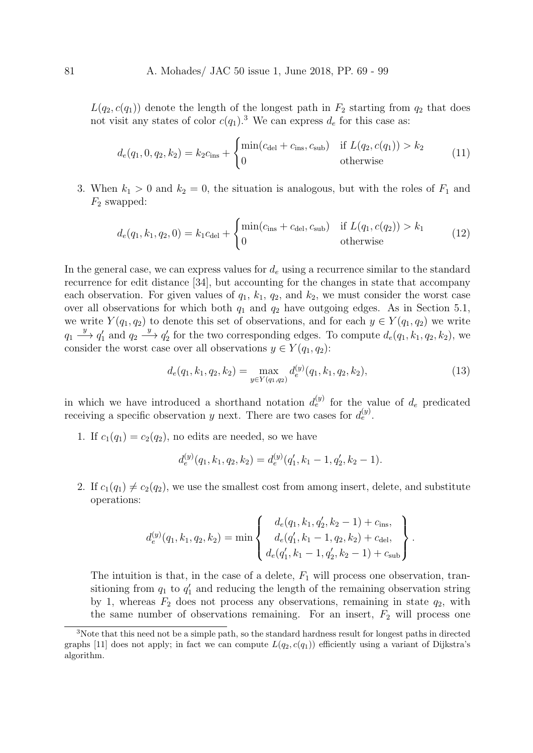$L(q_2, c(q_1))$  denote the length of the longest path in  $F_2$  starting from  $q_2$  that does not visit any states of color  $c(q_1)$ .<sup>3</sup> We can express  $d_e$  for this case as:

$$
d_e(q_1, 0, q_2, k_2) = k_2 c_{\text{ins}} + \begin{cases} \min(c_{\text{del}} + c_{\text{ins}}, c_{\text{sub}}) & \text{if } L(q_2, c(q_1)) > k_2\\ 0 & \text{otherwise} \end{cases}
$$
(11)

3. When  $k_1 > 0$  and  $k_2 = 0$ , the situation is analogous, but with the roles of  $F_1$  and  $F_2$  swapped:

$$
d_e(q_1, k_1, q_2, 0) = k_1 c_{\text{del}} + \begin{cases} \min(c_{\text{ins}} + c_{\text{del}}, c_{\text{sub}}) & \text{if } L(q_1, c(q_2)) > k_1\\ 0 & \text{otherwise} \end{cases}
$$
(12)

In the general case, we can express values for  $d_e$  using a recurrence similar to the standard recurrence for edit distance [34], but accounting for the changes in state that accompany each observation. For given values of  $q_1$ ,  $k_1$ ,  $q_2$ , and  $k_2$ , we must consider the worst case over all observations for which both  $q_1$  and  $q_2$  have outgoing edges. As in Section 5.1, we write  $Y(q_1, q_2)$  to denote this set of observations, and for each  $y \in Y(q_1, q_2)$  we write  $q_1 \stackrel{y}{\longrightarrow} q'_1$  and  $q_2 \stackrel{y}{\longrightarrow} q'_2$  for the two corresponding edges. To compute  $d_e(q_1, k_1, q_2, k_2)$ , we consider the worst case over all observations  $y \in Y(q_1, q_2)$ :

$$
d_e(q_1, k_1, q_2, k_2) = \max_{y \in Y(q_1, q_2)} d_e^{(y)}(q_1, k_1, q_2, k_2), \tag{13}
$$

in which we have introduced a shorthand notation  $d_e^{(y)}$  for the value of  $d_e$  predicated receiving a specific observation y next. There are two cases for  $d_e^{(y)}$ .

1. If  $c_1(q_1) = c_2(q_2)$ , no edits are needed, so we have

$$
d_e^{(y)}(q_1, k_1, q_2, k_2) = d_e^{(y)}(q'_1, k_1 - 1, q'_2, k_2 - 1).
$$

2. If  $c_1(q_1) \neq c_2(q_2)$ , we use the smallest cost from among insert, delete, and substitute operations:

$$
d_e^{(y)}(q_1, k_1, q_2, k_2) = \min \left\{ \begin{array}{l} d_e(q_1, k_1, q'_2, k_2 - 1) + c_{\text{ins}}, \\ d_e(q'_1, k_1 - 1, q_2, k_2) + c_{\text{del}}, \\ d_e(q'_1, k_1 - 1, q'_2, k_2 - 1) + c_{\text{sub}} \end{array} \right\}.
$$

The intuition is that, in the case of a delete,  $F_1$  will process one observation, transitioning from  $q_1$  to  $q'_1$  and reducing the length of the remaining observation string by 1, whereas  $F_2$  does not process any observations, remaining in state  $q_2$ , with the same number of observations remaining. For an insert,  $F_2$  will process one

<sup>3</sup>Note that this need not be a simple path, so the standard hardness result for longest paths in directed graphs [11] does not apply; in fact we can compute  $L(q_2, c(q_1))$  efficiently using a variant of Dijkstra's algorithm.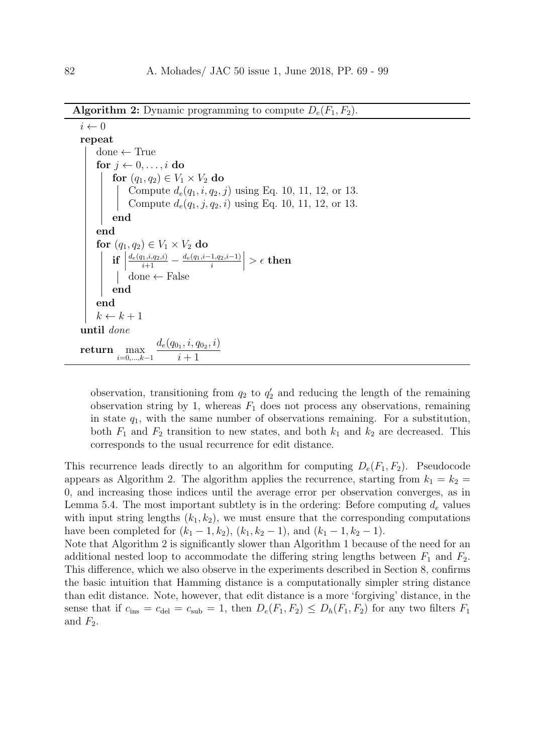**Algorithm 2:** Dynamic programming to compute  $D_e(F_1, F_2)$ .

```
i \leftarrow 0repeat
      done \leftarrow Truefor i \leftarrow 0, \ldots, i do
              for (q_1, q_2) \in V_1 \times V_2 do
                     Compute d_e(q_1, i, q_2, j) using Eq. 10, 11, 12, or 13.
                     Compute d_e(q_1, j, q_2, i) using Eq. 10, 11, 12, or 13.
            end
      end
       for (q_1, q_2) \in V_1 \times V_2 do
              \left| \begin{array}{c} \text{if} \ \text{if} \end{array} \right|\frac{d_e(q_1,i,q_2,i)}{i+1} - \frac{d_e(q_1,i-1,q_2,i-1)}{i}\begin{array}{c} \begin{array}{c} \begin{array}{c} \end{array}\\ \begin{array}{c} \end{array} \end{array} \end{array}> \epsilon then
                     done ← False
             end
       end
      k \leftarrow k + 1until done
return max
                i=0,\ldots,k-1d_e(q_{0_1}, i, q_{0_2}, i)i+1
```
observation, transitioning from  $q_2$  to  $q'_2$  and reducing the length of the remaining observation string by 1, whereas  $F_1$  does not process any observations, remaining in state  $q_1$ , with the same number of observations remaining. For a substitution, both  $F_1$  and  $F_2$  transition to new states, and both  $k_1$  and  $k_2$  are decreased. This corresponds to the usual recurrence for edit distance.

This recurrence leads directly to an algorithm for computing  $D_e(F_1, F_2)$ . Pseudocode appears as Algorithm 2. The algorithm applies the recurrence, starting from  $k_1 = k_2 =$ 0, and increasing those indices until the average error per observation converges, as in Lemma 5.4. The most important subtlety is in the ordering: Before computing  $d_e$  values with input string lengths  $(k_1, k_2)$ , we must ensure that the corresponding computations have been completed for  $(k_1 - 1, k_2)$ ,  $(k_1, k_2 - 1)$ , and  $(k_1 - 1, k_2 - 1)$ .

Note that Algorithm 2 is significantly slower than Algorithm 1 because of the need for an additional nested loop to accommodate the differing string lengths between  $F_1$  and  $F_2$ . This difference, which we also observe in the experiments described in Section 8, confirms the basic intuition that Hamming distance is a computationally simpler string distance than edit distance. Note, however, that edit distance is a more 'forgiving' distance, in the sense that if  $c_{\text{ins}} = c_{\text{del}} = c_{\text{sub}} = 1$ , then  $D_e(F_1, F_2) \le D_h(F_1, F_2)$  for any two filters  $F_1$ and  $F_2$ .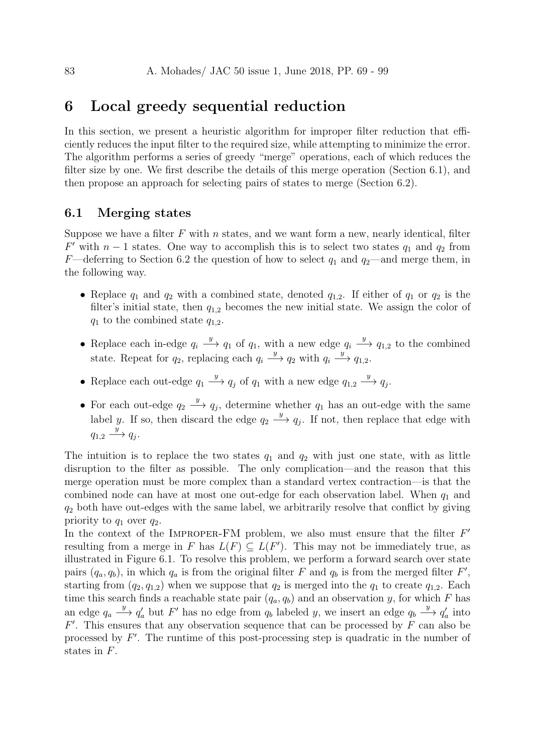## 6 Local greedy sequential reduction

In this section, we present a heuristic algorithm for improper filter reduction that efficiently reduces the input filter to the required size, while attempting to minimize the error. The algorithm performs a series of greedy "merge" operations, each of which reduces the filter size by one. We first describe the details of this merge operation (Section 6.1), and then propose an approach for selecting pairs of states to merge (Section 6.2).

#### 6.1 Merging states

Suppose we have a filter  $F$  with  $n$  states, and we want form a new, nearly identical, filter  $F'$  with  $n-1$  states. One way to accomplish this is to select two states  $q_1$  and  $q_2$  from F—deferring to Section 6.2 the question of how to select  $q_1$  and  $q_2$ —and merge them, in the following way.

- Replace  $q_1$  and  $q_2$  with a combined state, denoted  $q_{1,2}$ . If either of  $q_1$  or  $q_2$  is the filter's initial state, then  $q_{1,2}$  becomes the new initial state. We assign the color of  $q_1$  to the combined state  $q_{1,2}$ .
- Replace each in-edge  $q_i \stackrel{y}{\longrightarrow} q_1$  of  $q_1$ , with a new edge  $q_i \stackrel{y}{\longrightarrow} q_{1,2}$  to the combined state. Repeat for  $q_2$ , replacing each  $q_i \xrightarrow{y} q_2$  with  $q_i \xrightarrow{y} q_{1,2}$ .
- Replace each out-edge  $q_1 \xrightarrow{y} q_j$  of  $q_1$  with a new edge  $q_{1,2} \xrightarrow{y} q_j$ .
- For each out-edge  $q_2 \stackrel{y}{\longrightarrow} q_j$ , determine whether  $q_1$  has an out-edge with the same label y. If so, then discard the edge  $q_2 \stackrel{y}{\longrightarrow} q_j$ . If not, then replace that edge with  $q_{1,2} \xrightarrow{y} q_j.$

The intuition is to replace the two states  $q_1$  and  $q_2$  with just one state, with as little disruption to the filter as possible. The only complication—and the reason that this merge operation must be more complex than a standard vertex contraction—is that the combined node can have at most one out-edge for each observation label. When  $q_1$  and  $q_2$  both have out-edges with the same label, we arbitrarily resolve that conflict by giving priority to  $q_1$  over  $q_2$ .

In the context of the IMPROPER-FM problem, we also must ensure that the filter  $F'$ resulting from a merge in F has  $L(F) \subseteq L(F')$ . This may not be immediately true, as illustrated in Figure 6.1. To resolve this problem, we perform a forward search over state pairs  $(q_a, q_b)$ , in which  $q_a$  is from the original filter F and  $q_b$  is from the merged filter F', starting from  $(q_2, q_{1,2})$  when we suppose that  $q_2$  is merged into the  $q_1$  to create  $q_{1,2}$ . Each time this search finds a reachable state pair  $(q_a, q_b)$  and an observation y, for which F has an edge  $q_a \stackrel{y}{\longrightarrow} q'_a$  but F' has no edge from  $q_b$  labeled y, we insert an edge  $q_b \stackrel{y}{\longrightarrow} q'_a$  into  $F'$ . This ensures that any observation sequence that can be processed by  $F$  can also be processed by  $F'$ . The runtime of this post-processing step is quadratic in the number of states in F.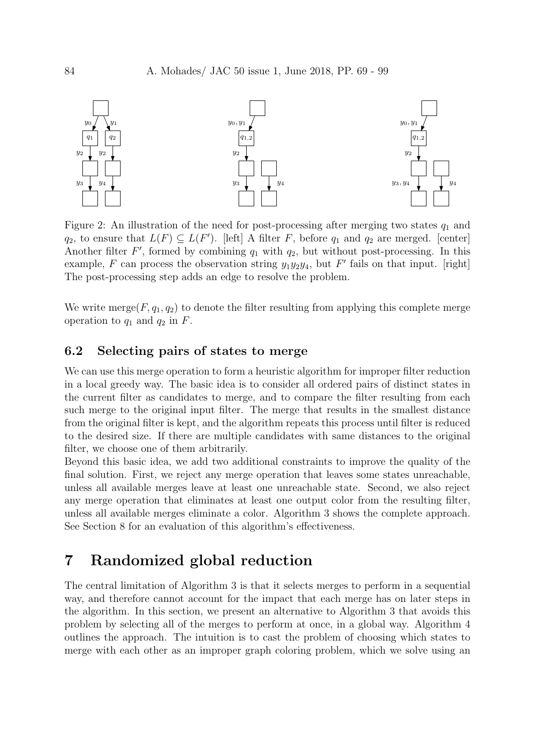

Figure 2: An illustration of the need for post-processing after merging two states  $q_1$  and  $q_2$ , to ensure that  $L(F) \subseteq L(F')$ . [left] A filter F, before  $q_1$  and  $q_2$  are merged. [center] Another filter  $F'$ , formed by combining  $q_1$  with  $q_2$ , but without post-processing. In this example, F can process the observation string  $y_1y_2y_4$ , but F' fails on that input. [right] The post-processing step adds an edge to resolve the problem.

We write merge( $F, q_1, q_2$ ) to denote the filter resulting from applying this complete merge operation to  $q_1$  and  $q_2$  in F.

## 6.2 Selecting pairs of states to merge

We can use this merge operation to form a heuristic algorithm for improper filter reduction in a local greedy way. The basic idea is to consider all ordered pairs of distinct states in the current filter as candidates to merge, and to compare the filter resulting from each such merge to the original input filter. The merge that results in the smallest distance from the original filter is kept, and the algorithm repeats this process until filter is reduced to the desired size. If there are multiple candidates with same distances to the original filter, we choose one of them arbitrarily.

Beyond this basic idea, we add two additional constraints to improve the quality of the final solution. First, we reject any merge operation that leaves some states unreachable, unless all available merges leave at least one unreachable state. Second, we also reject any merge operation that eliminates at least one output color from the resulting filter, unless all available merges eliminate a color. Algorithm 3 shows the complete approach. See Section 8 for an evaluation of this algorithm's effectiveness.

## 7 Randomized global reduction

The central limitation of Algorithm 3 is that it selects merges to perform in a sequential way, and therefore cannot account for the impact that each merge has on later steps in the algorithm. In this section, we present an alternative to Algorithm 3 that avoids this problem by selecting all of the merges to perform at once, in a global way. Algorithm 4 outlines the approach. The intuition is to cast the problem of choosing which states to merge with each other as an improper graph coloring problem, which we solve using an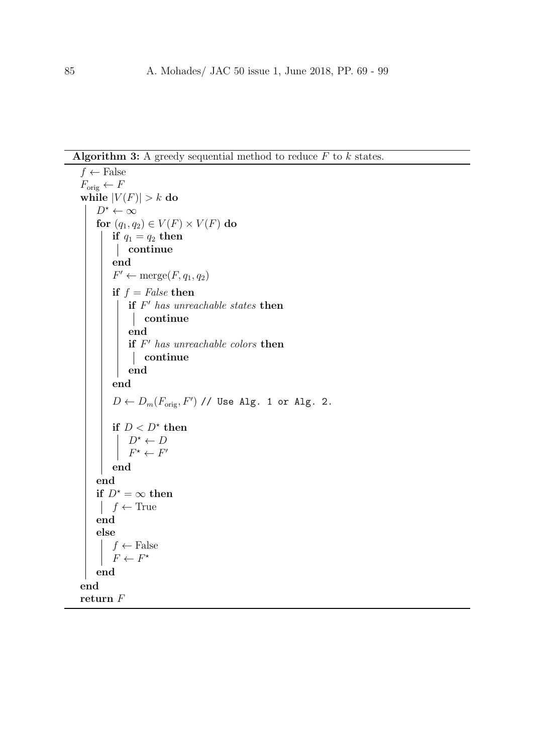Algorithm 3: A greedy sequential method to reduce  $F$  to  $k$  states.

```
f \leftarrow False
F_{\text{orig}} \leftarrow Fwhile |V(F)| > k do
    D^* \leftarrow \inftyfor (q_1, q_2) \in V(F) \times V(F) do
        if q_1 = q_2 then
         continue
        end
         F' \leftarrow \text{merge}(F, q_1, q_2)if f = False then
             if F' has unreachable states then
             continue
            end
             if F' has unreachable colors then
             continue
            end
        end
         D \leftarrow D_m(F_{\text{orig}}, F') // Use Alg. 1 or Alg. 2.
         if D < D^* then
            D^* \leftarrow DF^* \leftarrow F'end
    end
   if D^* = \infty then
    \vert f \leftarrow \text{True}end
    else
        f \leftarrow False
         F \leftarrow F^*end
end
return F
```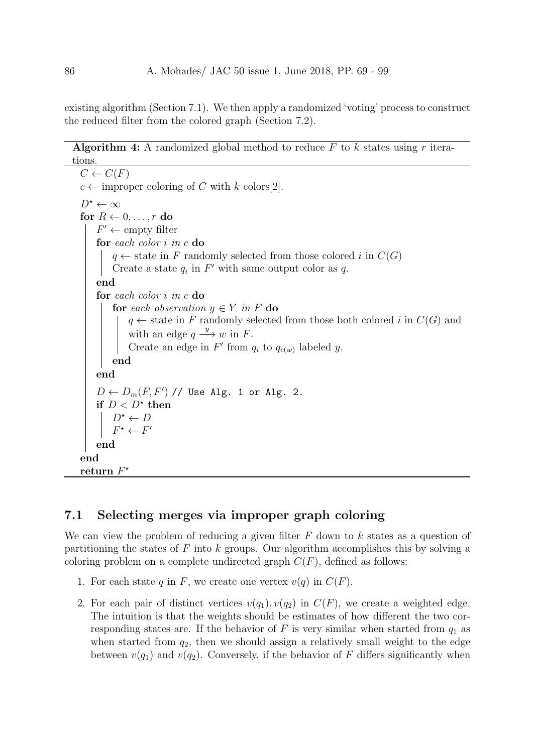existing algorithm (Section 7.1). We then apply a randomized 'voting' process to construct the reduced filter from the colored graph (Section 7.2).

#### Algorithm 4: A randomized global method to reduce  $F$  to  $k$  states using  $r$  iterations.

```
C \leftarrow C(F)c \leftarrow improper coloring of C with k colors[2].
D^* \leftarrow \inftyfor R \leftarrow 0, \ldots, r do
    F' \leftarrow \text{empty filter}for each color i in c do
         q \leftarrow state in F randomly selected from those colored i in C(G)Create a state q_i in F' with same output color as q.
    end
    for each color i in c do
        for each observation y \in Y in F do
             q \leftarrow state in F randomly selected from those both colored i in C(G) and
             with an edge q \xrightarrow{y} w in F.
             Create an edge in F' from q_i to q_{c(w)} labeled y.
        end
    end
    D \leftarrow D_m(F, F') // Use Alg. 1 or Alg. 2.
    if D < D^* then
         D^* \leftarrow DF
           \star \leftarrow F\overline{\phantom{a}}end
end
\frac{\textbf{return } F^{\star}}{}
```
#### 7.1 Selecting merges via improper graph coloring

We can view the problem of reducing a given filter  $F$  down to  $k$  states as a question of partitioning the states of F into k groups. Our algorithm accomplishes this by solving a coloring problem on a complete undirected graph  $C(F)$ , defined as follows:

- 1. For each state q in F, we create one vertex  $v(q)$  in  $C(F)$ .
- 2. For each pair of distinct vertices  $v(q_1), v(q_2)$  in  $C(F)$ , we create a weighted edge. The intuition is that the weights should be estimates of how different the two corresponding states are. If the behavior of F is very similar when started from  $q_1$  as when started from  $q_2$ , then we should assign a relatively small weight to the edge between  $v(q_1)$  and  $v(q_2)$ . Conversely, if the behavior of F differs significantly when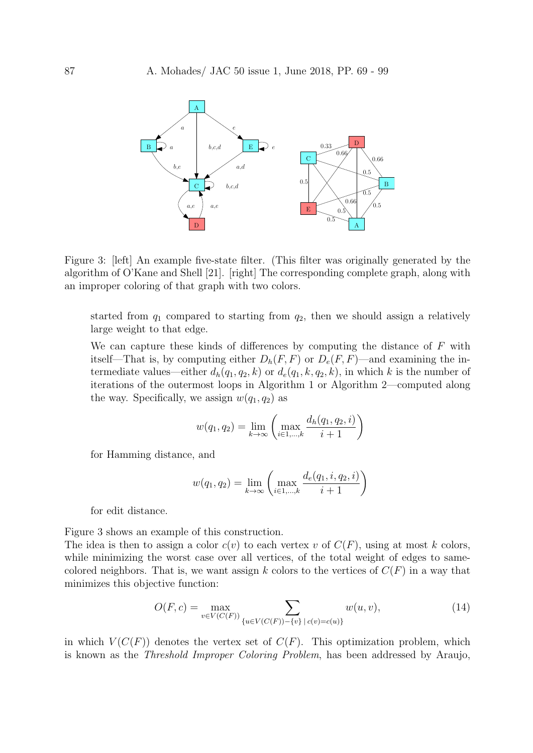

Figure 3: [left] An example five-state filter. (This filter was originally generated by the algorithm of O'Kane and Shell [21]. [right] The corresponding complete graph, along with an improper coloring of that graph with two colors.

started from  $q_1$  compared to starting from  $q_2$ , then we should assign a relatively large weight to that edge.

We can capture these kinds of differences by computing the distance of  $F$  with itself—That is, by computing either  $D_h(F, F)$  or  $D_e(F, F)$ —and examining the intermediate values—either  $d_h(q_1, q_2, k)$  or  $d_e(q_1, k, q_2, k)$ , in which k is the number of iterations of the outermost loops in Algorithm 1 or Algorithm 2—computed along the way. Specifically, we assign  $w(q_1, q_2)$  as

$$
w(q_1, q_2) = \lim_{k \to \infty} \left( \max_{i \in 1, ..., k} \frac{d_h(q_1, q_2, i)}{i + 1} \right)
$$

for Hamming distance, and

$$
w(q_1, q_2) = \lim_{k \to \infty} \left( \max_{i \in 1, ..., k} \frac{d_e(q_1, i, q_2, i)}{i + 1} \right)
$$

for edit distance.

Figure 3 shows an example of this construction.

The idea is then to assign a color  $c(v)$  to each vertex v of  $C(F)$ , using at most k colors, while minimizing the worst case over all vertices, of the total weight of edges to samecolored neighbors. That is, we want assign k colors to the vertices of  $C(F)$  in a way that minimizes this objective function:

$$
O(F, c) = \max_{v \in V(C(F))} \sum_{\{u \in V(C(F)) - \{v\} \mid c(v) = c(u)\}} w(u, v),
$$
\n(14)

in which  $V(C(F))$  denotes the vertex set of  $C(F)$ . This optimization problem, which is known as the Threshold Improper Coloring Problem, has been addressed by Araujo,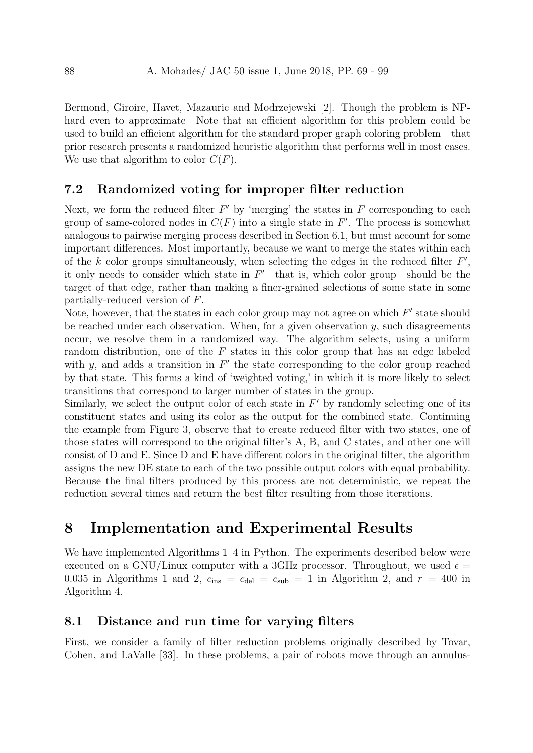Bermond, Giroire, Havet, Mazauric and Modrzejewski [2]. Though the problem is NPhard even to approximate—Note that an efficient algorithm for this problem could be used to build an efficient algorithm for the standard proper graph coloring problem—that prior research presents a randomized heuristic algorithm that performs well in most cases. We use that algorithm to color  $C(F)$ .

#### 7.2 Randomized voting for improper filter reduction

Next, we form the reduced filter  $F'$  by 'merging' the states in  $F$  corresponding to each group of same-colored nodes in  $C(F)$  into a single state in  $F'$ . The process is somewhat analogous to pairwise merging process described in Section 6.1, but must account for some important differences. Most importantly, because we want to merge the states within each of the k color groups simultaneously, when selecting the edges in the reduced filter  $F'$ , it only needs to consider which state in  $F'$ —that is, which color group—should be the target of that edge, rather than making a finer-grained selections of some state in some partially-reduced version of F.

Note, however, that the states in each color group may not agree on which  $F'$  state should be reached under each observation. When, for a given observation  $y$ , such disagreements occur, we resolve them in a randomized way. The algorithm selects, using a uniform random distribution, one of the F states in this color group that has an edge labeled with y, and adds a transition in  $F'$  the state corresponding to the color group reached by that state. This forms a kind of 'weighted voting,' in which it is more likely to select transitions that correspond to larger number of states in the group.

Similarly, we select the output color of each state in  $F'$  by randomly selecting one of its constituent states and using its color as the output for the combined state. Continuing the example from Figure 3, observe that to create reduced filter with two states, one of those states will correspond to the original filter's A, B, and C states, and other one will consist of D and E. Since D and E have different colors in the original filter, the algorithm assigns the new DE state to each of the two possible output colors with equal probability. Because the final filters produced by this process are not deterministic, we repeat the reduction several times and return the best filter resulting from those iterations.

## 8 Implementation and Experimental Results

We have implemented Algorithms 1–4 in Python. The experiments described below were executed on a GNU/Linux computer with a 3GHz processor. Throughout, we used  $\epsilon =$ 0.035 in Algorithms 1 and 2,  $c_{ins} = c_{del} = c_{sub} = 1$  in Algorithm 2, and  $r = 400$  in Algorithm 4.

#### 8.1 Distance and run time for varying filters

First, we consider a family of filter reduction problems originally described by Tovar, Cohen, and LaValle [33]. In these problems, a pair of robots move through an annulus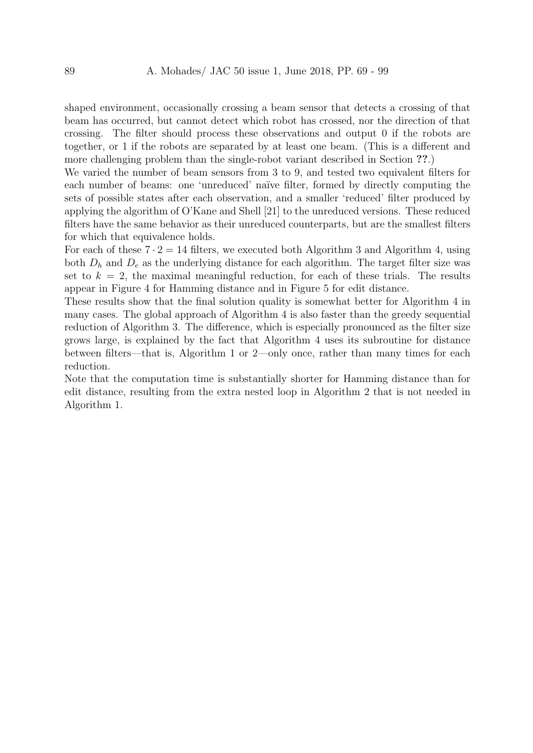shaped environment, occasionally crossing a beam sensor that detects a crossing of that beam has occurred, but cannot detect which robot has crossed, nor the direction of that crossing. The filter should process these observations and output 0 if the robots are together, or 1 if the robots are separated by at least one beam. (This is a different and more challenging problem than the single-robot variant described in Section ??.)

We varied the number of beam sensors from 3 to 9, and tested two equivalent filters for each number of beams: one 'unreduced' naïve filter, formed by directly computing the sets of possible states after each observation, and a smaller 'reduced' filter produced by applying the algorithm of O'Kane and Shell [21] to the unreduced versions. These reduced filters have the same behavior as their unreduced counterparts, but are the smallest filters for which that equivalence holds.

For each of these  $7 \cdot 2 = 14$  filters, we executed both Algorithm 3 and Algorithm 4, using both  $D_h$  and  $D_e$  as the underlying distance for each algorithm. The target filter size was set to  $k = 2$ , the maximal meaningful reduction, for each of these trials. The results appear in Figure 4 for Hamming distance and in Figure 5 for edit distance.

These results show that the final solution quality is somewhat better for Algorithm 4 in many cases. The global approach of Algorithm 4 is also faster than the greedy sequential reduction of Algorithm 3. The difference, which is especially pronounced as the filter size grows large, is explained by the fact that Algorithm 4 uses its subroutine for distance between filters—that is, Algorithm 1 or 2—only once, rather than many times for each reduction.

Note that the computation time is substantially shorter for Hamming distance than for edit distance, resulting from the extra nested loop in Algorithm 2 that is not needed in Algorithm 1.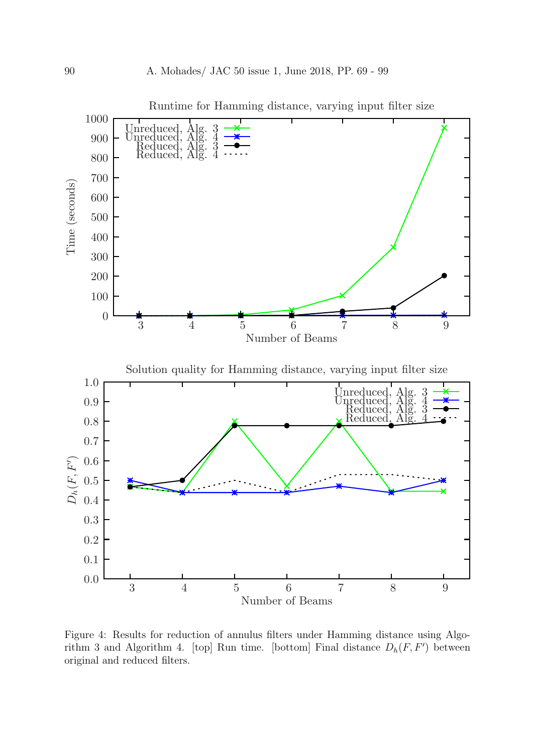

Figure 4: Results for reduction of annulus filters under Hamming distance using Algorithm 3 and Algorithm 4. [top] Run time. [bottom] Final distance  $D_h(F, F')$  between original and reduced filters.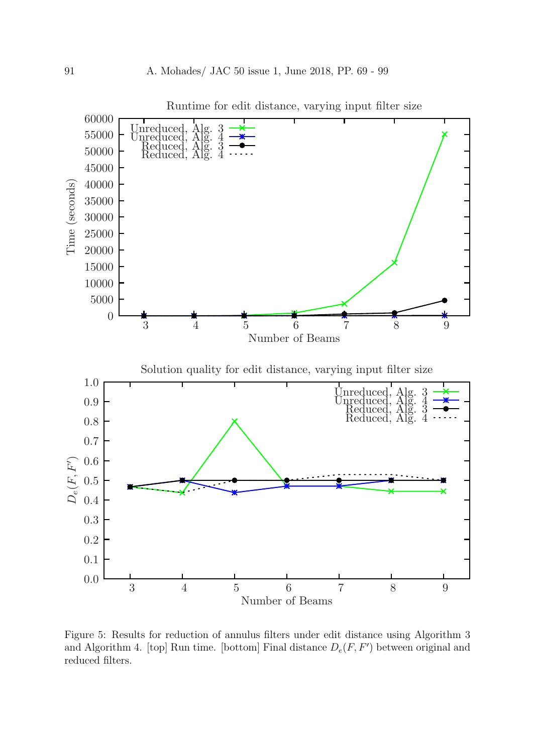

Figure 5: Results for reduction of annulus filters under edit distance using Algorithm 3 and Algorithm 4. [top] Run time. [bottom] Final distance  $D_e(F, F')$  between original and reduced filters.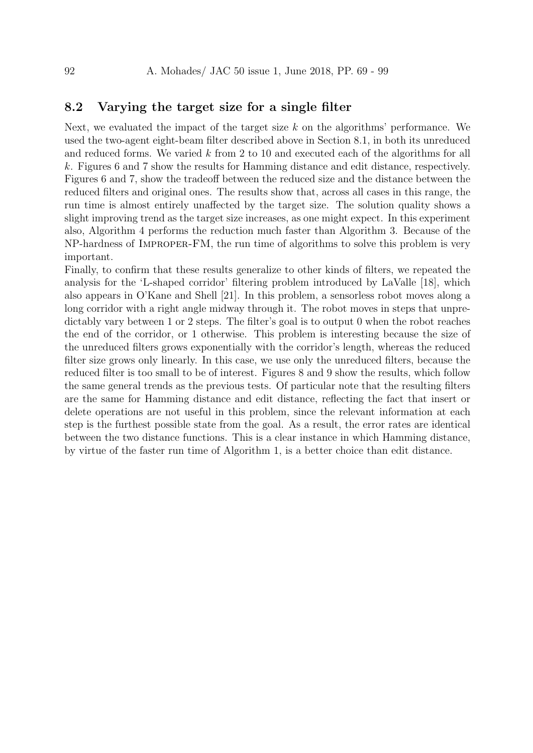## 8.2 Varying the target size for a single filter

Next, we evaluated the impact of the target size  $k$  on the algorithms' performance. We used the two-agent eight-beam filter described above in Section 8.1, in both its unreduced and reduced forms. We varied k from 2 to 10 and executed each of the algorithms for all k. Figures 6 and 7 show the results for Hamming distance and edit distance, respectively. Figures 6 and 7, show the tradeoff between the reduced size and the distance between the reduced filters and original ones. The results show that, across all cases in this range, the run time is almost entirely unaffected by the target size. The solution quality shows a slight improving trend as the target size increases, as one might expect. In this experiment also, Algorithm 4 performs the reduction much faster than Algorithm 3. Because of the NP-hardness of Improper-FM, the run time of algorithms to solve this problem is very important.

Finally, to confirm that these results generalize to other kinds of filters, we repeated the analysis for the 'L-shaped corridor' filtering problem introduced by LaValle [18], which also appears in O'Kane and Shell [21]. In this problem, a sensorless robot moves along a long corridor with a right angle midway through it. The robot moves in steps that unpredictably vary between 1 or 2 steps. The filter's goal is to output 0 when the robot reaches the end of the corridor, or 1 otherwise. This problem is interesting because the size of the unreduced filters grows exponentially with the corridor's length, whereas the reduced filter size grows only linearly. In this case, we use only the unreduced filters, because the reduced filter is too small to be of interest. Figures 8 and 9 show the results, which follow the same general trends as the previous tests. Of particular note that the resulting filters are the same for Hamming distance and edit distance, reflecting the fact that insert or delete operations are not useful in this problem, since the relevant information at each step is the furthest possible state from the goal. As a result, the error rates are identical between the two distance functions. This is a clear instance in which Hamming distance, by virtue of the faster run time of Algorithm 1, is a better choice than edit distance.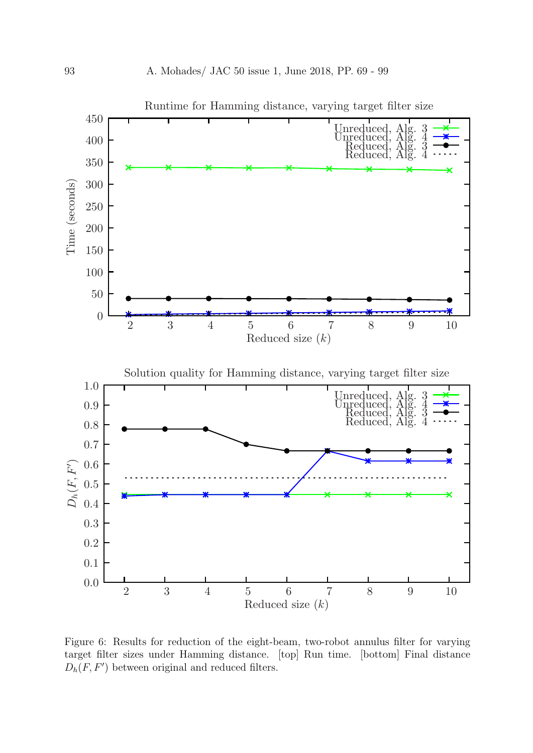

Figure 6: Results for reduction of the eight-beam, two-robot annulus filter for varying target filter sizes under Hamming distance. [top] Run time. [bottom] Final distance  $D_h(F, F')$  between original and reduced filters.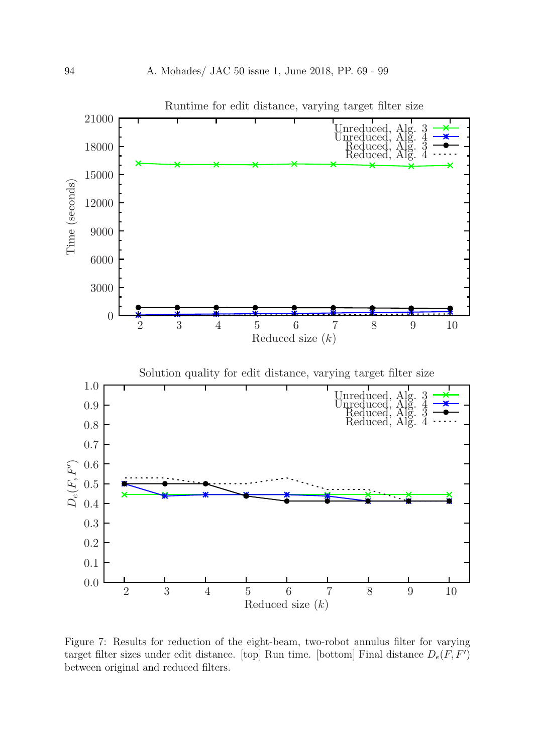

Figure 7: Results for reduction of the eight-beam, two-robot annulus filter for varying target filter sizes under edit distance. [top] Run time. [bottom] Final distance  $D_e(F, F')$ between original and reduced filters.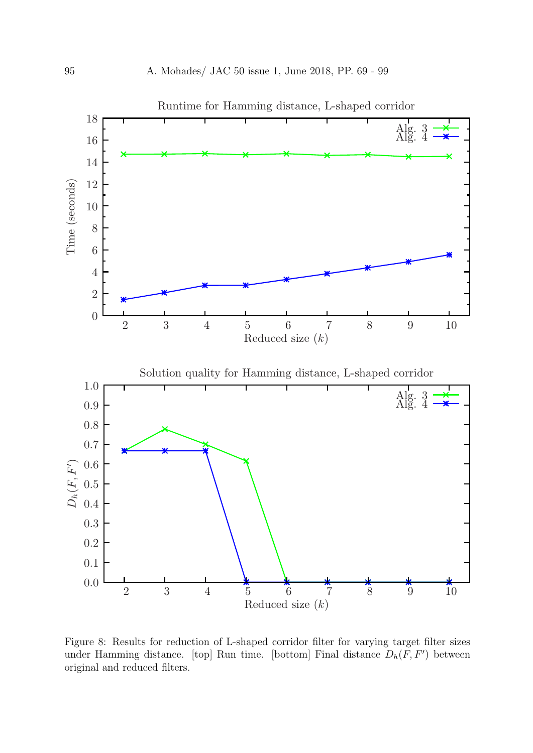

Figure 8: Results for reduction of L-shaped corridor filter for varying target filter sizes under Hamming distance. [top] Run time. [bottom] Final distance  $D_h(F, F')$  between original and reduced filters.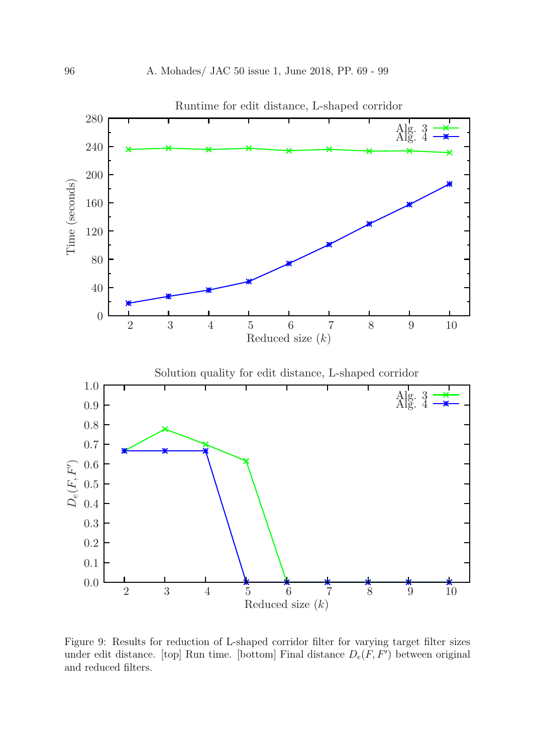

Figure 9: Results for reduction of L-shaped corridor filter for varying target filter sizes under edit distance. [top] Run time. [bottom] Final distance  $D_e(F, F')$  between original and reduced filters.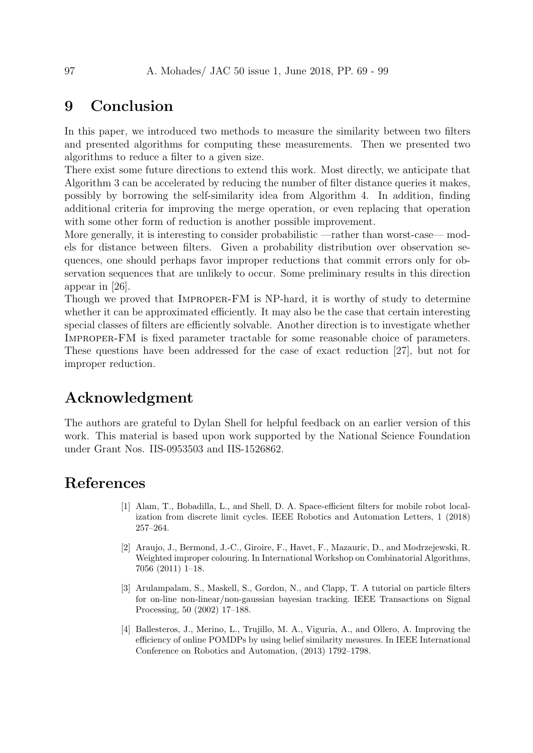## 9 Conclusion

In this paper, we introduced two methods to measure the similarity between two filters and presented algorithms for computing these measurements. Then we presented two algorithms to reduce a filter to a given size.

There exist some future directions to extend this work. Most directly, we anticipate that Algorithm 3 can be accelerated by reducing the number of filter distance queries it makes, possibly by borrowing the self-similarity idea from Algorithm 4. In addition, finding additional criteria for improving the merge operation, or even replacing that operation with some other form of reduction is another possible improvement.

More generally, it is interesting to consider probabilistic —rather than worst-case— models for distance between filters. Given a probability distribution over observation sequences, one should perhaps favor improper reductions that commit errors only for observation sequences that are unlikely to occur. Some preliminary results in this direction appear in [26].

Though we proved that Improper-FM is NP-hard, it is worthy of study to determine whether it can be approximated efficiently. It may also be the case that certain interesting special classes of filters are efficiently solvable. Another direction is to investigate whether Improper-FM is fixed parameter tractable for some reasonable choice of parameters. These questions have been addressed for the case of exact reduction [27], but not for improper reduction.

# Acknowledgment

The authors are grateful to Dylan Shell for helpful feedback on an earlier version of this work. This material is based upon work supported by the National Science Foundation under Grant Nos. IIS-0953503 and IIS-1526862.

## References

- [1] Alam, T., Bobadilla, L., and Shell, D. A. Space-efficient filters for mobile robot localization from discrete limit cycles. IEEE Robotics and Automation Letters, 1 (2018) 257–264.
- [2] Araujo, J., Bermond, J.-C., Giroire, F., Havet, F., Mazauric, D., and Modrzejewski, R. Weighted improper colouring. In International Workshop on Combinatorial Algorithms, 7056 (2011) 1–18.
- [3] Arulampalam, S., Maskell, S., Gordon, N., and Clapp, T. A tutorial on particle filters for on-line non-linear/non-gaussian bayesian tracking. IEEE Transactions on Signal Processing, 50 (2002) 17–188.
- [4] Ballesteros, J., Merino, L., Trujillo, M. A., Viguria, A., and Ollero, A. Improving the efficiency of online POMDPs by using belief similarity measures. In IEEE International Conference on Robotics and Automation, (2013) 1792–1798.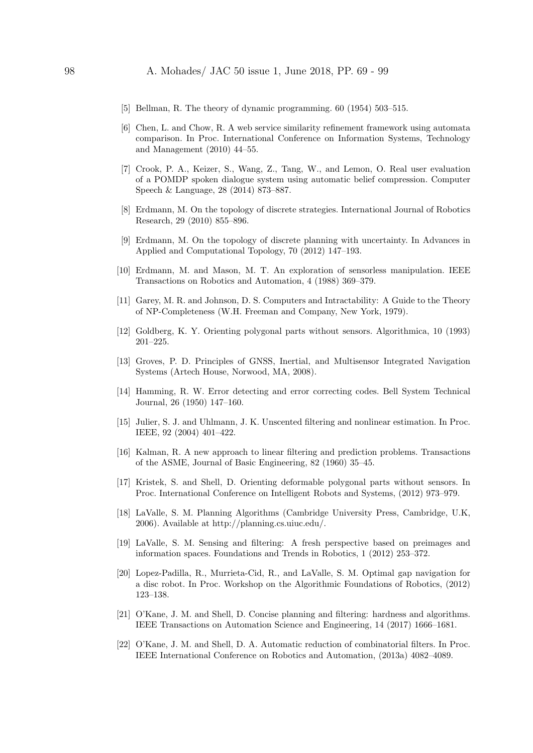#### 98 A. Mohades/ JAC 50 issue 1, June 2018, PP. 69 - 99

- [5] Bellman, R. The theory of dynamic programming. 60 (1954) 503–515.
- [6] Chen, L. and Chow, R. A web service similarity refinement framework using automata comparison. In Proc. International Conference on Information Systems, Technology and Management (2010) 44–55.
- [7] Crook, P. A., Keizer, S., Wang, Z., Tang, W., and Lemon, O. Real user evaluation of a POMDP spoken dialogue system using automatic belief compression. Computer Speech & Language, 28 (2014) 873–887.
- [8] Erdmann, M. On the topology of discrete strategies. International Journal of Robotics Research, 29 (2010) 855–896.
- [9] Erdmann, M. On the topology of discrete planning with uncertainty. In Advances in Applied and Computational Topology, 70 (2012) 147–193.
- [10] Erdmann, M. and Mason, M. T. An exploration of sensorless manipulation. IEEE Transactions on Robotics and Automation, 4 (1988) 369–379.
- [11] Garey, M. R. and Johnson, D. S. Computers and Intractability: A Guide to the Theory of NP-Completeness (W.H. Freeman and Company, New York, 1979).
- [12] Goldberg, K. Y. Orienting polygonal parts without sensors. Algorithmica, 10 (1993) 201–225.
- [13] Groves, P. D. Principles of GNSS, Inertial, and Multisensor Integrated Navigation Systems (Artech House, Norwood, MA, 2008).
- [14] Hamming, R. W. Error detecting and error correcting codes. Bell System Technical Journal, 26 (1950) 147–160.
- [15] Julier, S. J. and Uhlmann, J. K. Unscented filtering and nonlinear estimation. In Proc. IEEE, 92 (2004) 401–422.
- [16] Kalman, R. A new approach to linear filtering and prediction problems. Transactions of the ASME, Journal of Basic Engineering, 82 (1960) 35–45.
- [17] Kristek, S. and Shell, D. Orienting deformable polygonal parts without sensors. In Proc. International Conference on Intelligent Robots and Systems, (2012) 973–979.
- [18] LaValle, S. M. Planning Algorithms (Cambridge University Press, Cambridge, U.K, 2006). Available at http://planning.cs.uiuc.edu/.
- [19] LaValle, S. M. Sensing and filtering: A fresh perspective based on preimages and information spaces. Foundations and Trends in Robotics, 1 (2012) 253–372.
- [20] Lopez-Padilla, R., Murrieta-Cid, R., and LaValle, S. M. Optimal gap navigation for a disc robot. In Proc. Workshop on the Algorithmic Foundations of Robotics, (2012) 123–138.
- [21] O'Kane, J. M. and Shell, D. Concise planning and filtering: hardness and algorithms. IEEE Transactions on Automation Science and Engineering, 14 (2017) 1666–1681.
- [22] O'Kane, J. M. and Shell, D. A. Automatic reduction of combinatorial filters. In Proc. IEEE International Conference on Robotics and Automation, (2013a) 4082–4089.